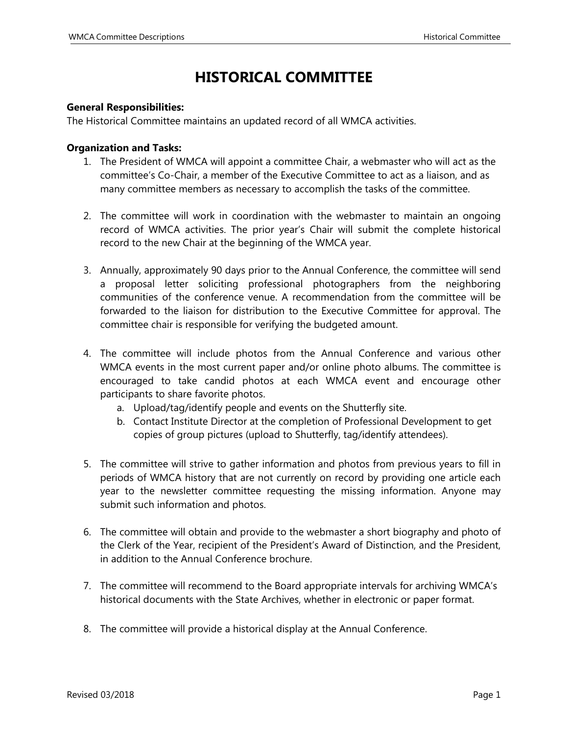## **HISTORICAL COMMITTEE**

## **General Responsibilities:**

The Historical Committee maintains an updated record of all WMCA activities.

## **Organization and Tasks:**

- 1. The President of WMCA will appoint a committee Chair, a webmaster who will act as the committee's Co-Chair, a member of the Executive Committee to act as a liaison, and as many committee members as necessary to accomplish the tasks of the committee.
- 2. The committee will work in coordination with the webmaster to maintain an ongoing record of WMCA activities. The prior year's Chair will submit the complete historical record to the new Chair at the beginning of the WMCA year.
- 3. Annually, approximately 90 days prior to the Annual Conference, the committee will send a proposal letter soliciting professional photographers from the neighboring communities of the conference venue. A recommendation from the committee will be forwarded to the liaison for distribution to the Executive Committee for approval. The committee chair is responsible for verifying the budgeted amount.
- 4. The committee will include photos from the Annual Conference and various other WMCA events in the most current paper and/or online photo albums. The committee is encouraged to take candid photos at each WMCA event and encourage other participants to share favorite photos.
	- a. Upload/tag/identify people and events on the Shutterfly site.
	- b. Contact Institute Director at the completion of Professional Development to get copies of group pictures (upload to Shutterfly, tag/identify attendees).
- 5. The committee will strive to gather information and photos from previous years to fill in periods of WMCA history that are not currently on record by providing one article each year to the newsletter committee requesting the missing information. Anyone may submit such information and photos.
- 6. The committee will obtain and provide to the webmaster a short biography and photo of the Clerk of the Year, recipient of the President's Award of Distinction, and the President, in addition to the Annual Conference brochure.
- 7. The committee will recommend to the Board appropriate intervals for archiving WMCA's historical documents with the State Archives, whether in electronic or paper format.
- 8. The committee will provide a historical display at the Annual Conference.